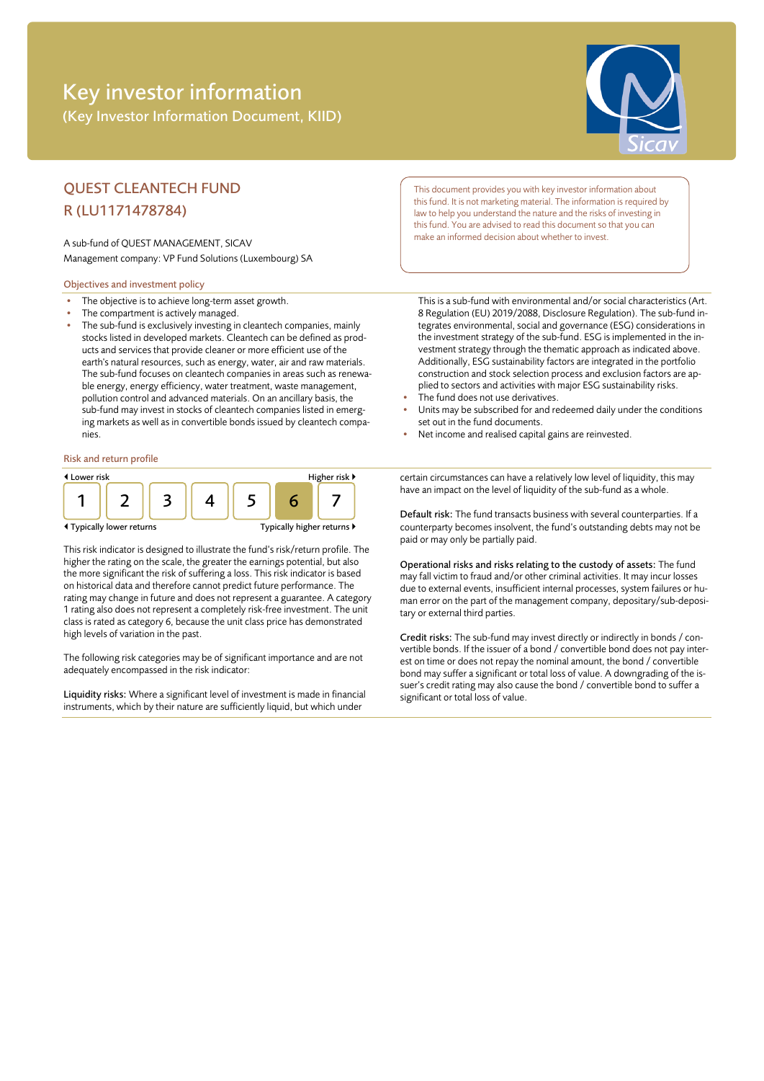# Key investor information (Key Investor Information Document, KIID)



## QUEST CLEANTECH FUND R (LU1171478784)

A sub-fund of QUEST MANAGEMENT, SICAV Management company: VP Fund Solutions (Luxembourg) SA

#### Objectives and investment policy

- The objective is to achieve long-term asset growth.
- The compartment is actively managed.
- The sub-fund is exclusively investing in cleantech companies, mainly stocks listed in developed markets. Cleantech can be defined as products and services that provide cleaner or more efficient use of the earth's natural resources, such as energy, water, air and raw materials. The sub-fund focuses on cleantech companies in areas such as renewable energy, energy efficiency, water treatment, waste management, pollution control and advanced materials. On an ancillary basis, the sub-fund may invest in stocks of cleantech companies listed in emerging markets as well as in convertible bonds issued by cleantech companies.

#### Risk and return profile



This risk indicator is designed to illustrate the fund's risk/return profile. The higher the rating on the scale, the greater the earnings potential, but also the more significant the risk of suffering a loss. This risk indicator is based on historical data and therefore cannot predict future performance. The rating may change in future and does not represent a guarantee. A category 1 rating also does not represent a completely risk-free investment. The unit class is rated as category 6, because the unit class price has demonstrated high levels of variation in the past.

The following risk categories may be of significant importance and are not adequately encompassed in the risk indicator:

Liquidity risks: Where a significant level of investment is made in financial instruments, which by their nature are sufficiently liquid, but which under

This document provides you with key investor information about this fund. It is not marketing material. The information is required by law to help you understand the nature and the risks of investing in this fund. You are advised to read this document so that you can make an informed decision about whether to invest.

This is a sub-fund with environmental and/or social characteristics (Art. 8 Regulation (EU) 2019/2088, Disclosure Regulation). The sub-fund integrates environmental, social and governance (ESG) considerations in the investment strategy of the sub-fund. ESG is implemented in the investment strategy through the thematic approach as indicated above. Additionally, ESG sustainability factors are integrated in the portfolio construction and stock selection process and exclusion factors are applied to sectors and activities with major ESG sustainability risks.

- The fund does not use derivatives.
- Units may be subscribed for and redeemed daily under the conditions set out in the fund documents.
- Net income and realised capital gains are reinvested.

certain circumstances can have a relatively low level of liquidity, this may have an impact on the level of liquidity of the sub-fund as a whole.

Default risk: The fund transacts business with several counterparties. If a counterparty becomes insolvent, the fund's outstanding debts may not be paid or may only be partially paid.

Operational risks and risks relating to the custody of assets: The fund may fall victim to fraud and/or other criminal activities. It may incur losses due to external events, insufficient internal processes, system failures or human error on the part of the management company, depositary/sub-depositary or external third parties.

Credit risks: The sub-fund may invest directly or indirectly in bonds / convertible bonds. If the issuer of a bond / convertible bond does not pay interest on time or does not repay the nominal amount, the bond / convertible bond may suffer a significant or total loss of value. A downgrading of the issuer's credit rating may also cause the bond / convertible bond to suffer a significant or total loss of value.